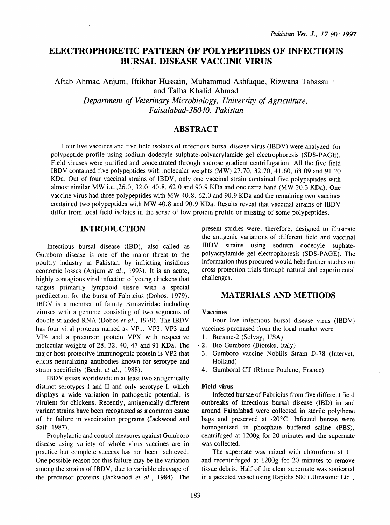# ELECTROPHORETIC PATTERN OF POLYPEPTIDES OF INFECTIOUS BURSAL DISEASE VACCINE VIRUS

Aftab Ahmad Anjum, Iftikhar Hussain, Muhammad Ashfaque, Rizwana Tabassu' · and Talha Khalid Ahmad *Department of Veterinary Microbiology, University of Agriculture, Faisalabad-38040, Pakistan* 

# ABSTRACT

Four live vaccines and five field isolates of infectious bursal disease virus (IBDV) were analyzed for polypeptide profile using sodium dodecyle sulphate-polyacrylamide gel electrophoresis (SDS-PAGE). Field viruses were purified and concentrated through sucrose gradient centrifugation. All the five field IBDV contained five polypeptides with molecular weights (MW) 27.70, 32.70, 41.60, 63.09 and 91.20 KDa. Out of four vaccinal strains of IBDV, only one vaccinal strain contained five polypeptides with almost similar MW i.e.,26.0, 32.0, 40.8, 62.0 and 90.9 KDa and one extra band (MW 20.3 KDa). One vaccine virus had three polypeptides with MW 40.8, 62.0 and 90.9 KDa and the remaining two vaccines contained two polypeptides with MW 40.8 and 90.9 KDa. Results reveal that vaccinal strains of IBDV differ from local field isolates in the sense of low protein profile or missing of some polypeptides.

# INTRODUCTION

Infectious bursal disease (IBD), also called as Gumboro disease is one of the major threat to the poultry industry in Pakistan, by inflicting insidious economic losses (Anjum *et al.,* 1993). It is an acute, highly contagious viral infection of young chickens that targets primarily lymphoid tissue with a special predilection for the bursa of Fabricius (Dobos, 1979). IBDV is a member of family Birnaviridae including viruses with a genome consisting of two segments of double stranded RNA (Dobos *et al.,* 1979). The IBDV has four viral proteins named as VPl, VP2, VP3 and VP4 and a precursor protein VPX with respective molecular weights of 28, 32, 40, 47 and 91 KDa. The major host protective immunogenic protein is VP2 that elicits neutralizing antibodies known for serotype and strain specificity (Becht *et al.,* 1988).

IBDV exists worldwide in at least two antigenically distinct serotypes I and II and only serotype I. which displays a wide variation in pathogenic potential, is virulent for chickens. Recently, antigenically different variant strains have been recognized as a common cause of the failure in vaccination programs (Jackwood and Saif, 1987).

Prophylactic and control measures against Gumboro disease using variety of whole virus vaccines are in practice but complete success has not been achieved. One possible reason for this failure may be the variation among the strains of IBDV, due to variable cleavage of the precursor proteins (Jackwood *et al.*, 1984). The present studies were, therefore, designed to illustrate the antigenic variations of different field and vaccinal IBDV strains using sodium dodecyle suphatepolyacrylamide gel electrophoresis (SDS-PAGE). The information thus procured would help further studies on cross protection trials through natural and experimental challenges.

# MATERIALS AND METHODS

### Vaccines

Four live infectious bursal disease virus (IBDV) vaccines purchased from the local market were

- 1. Bursine-2 (Solvay, USA)
- ' 2. Bio Gumboro (Bioteke, Italy)
- 3. Gumboro vaccine Nobilis Strain D-78 (lntervet, Holland)
- 4. Gumboral CT (Rhone Poulenc, France)

#### Field virus

Infected bursae of Fabricius from five different field outbreaks of infectious bursal disease (IBD) in and around Faisalabad were collected in sterile polythene bags and preserved at -20°C. Infected bursae were homogenized in phosphate buffered saline (PBS), centrifuged at 1200g for 20 minutes and the supernate was collected.

The supernate was mixed with chloroform at  $1:1$ and recentrifuged at 1200g for 20 minutes to remove tissue debris. Half of the clear supernate was sonicated in a jacketed vessel using Rapidis 600 (Ultrasonic Ltd.,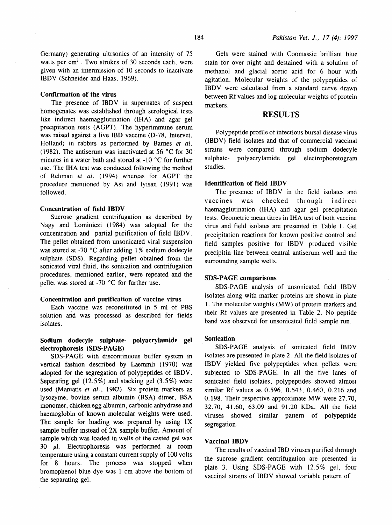Germany) generating ultrsonics of an intensity of 75 watts per  $cm<sup>2</sup>$ . Two strokes of 30 seconds each, were given with an intermission of 10 seconds to inactivate IBDV (Schneider and Haas, 1969).

### Confirmation of the virus

The presence of IBDV in supemates of suspect homogenates was established through serological tests like indirect haemagglutination (IHA) and agar gel precipitation 1ests (AGPT). The hyperimmune serum was raised against a live IBD vaccine (D-78, Intervet, Holland) in rabbits as performed by Barnes *et al.*  (1982). The antiserum was inactivated at  $56 \degree C$  for 30 minutes in a water bath and stored at  $-10$  °C for further use. The IHA test was conducted following the method of Rehman et al. (1994) whereas for AGPT the procedure mentioned by Asi and Iyisan ( 1991) was followed.

#### Concentration of field IBDV

Sucrose gradient centrifugation as described by Nagy and Lominiczi (1984) was adopted for the concentration and partial purification of field IBDV. The pellet obtained from unsonicated viral suspension was stored at -70  $^{\circ}$ C after adding 1% sodium dodecyle sulphate (SDS). Regarding pellet obtained from the sonicated viral fluid, the sonication and centrifugation procedures, mentioned earlier, were repeated and the pellet was stored at -70  $^{\circ}$ C for further use.

#### Concentration and purification of vaccine virus

Each vaccine was reconstituted in 5 ml of PBS solution and was processed as described for fields isolates.

### Sodium dodecyle sulphate- polyacrylamide gel electrophoresis (SDS-PAGE)

SDS-PAGE with discontinuous buffer system in vertical fashion described by Laemmli (1970) was adopted for the segregation of polypeptides of IBDV. Separating gel  $(12.5\%)$  and stacking gel  $(3.5\%)$  were used (Maniatis *et al.,* 1982). Six protein markers as lysozyme, bovine serum albumin (BSA) dimer, BSA monomer, chicken egg albumin, carbonic anhydrase and haemoglobin of known molecular weights were used. The sample for loading was prepared by using lX sample buffer instead of 2X sample buffer. Amount of sample which was loaded in wells of the casted gel was 30  $\mu$ l. Electrophoresis was performed at room temperature using a constant current supply of 100 volts for 8 hours. The process was stopped when bromophenol blue dye was 1 em above the bottom of the separating gel.

Gels were stained with Coomassie brilliant blue stain for over night and destained with a solution of methanol and glacial acetic acid for 6 hour with agitation. Molecular weights of the polypeptides of IBDV were calculated from a standard curve drawn between Rf values and log molecular weights of protein markers.

### RESULTS

Polypeptide profile of infectious bursal disease virus (IBDV) field isolates and that of commercial vaccinal strains were compared through sodium dodecyle sulphate- polyacrylamide gel electrophoretogram studies.

### Identification of field IBDV

The presence of IBDV in the field isolates and vaccines was checked through indirect haemagglutination (IHA) and agar gel precipitation tests. Geometric mean titres in IHA test of both vaccine virus and field isolates are presented in Table 1. Gel precipitation reactions for known positive control and field samples positive for IBDV produced visible precipitin line between central antiserum well and the surrounding sample wells.

### SDS-PAGE comparisons

SDS-PAGE analysis of unsonicated field IBDV isolates along with marker proteins are shown in plate 1. The molecular weights (MW) of protein markers and their Rf values are presented in Table 2. No peptide band was observed for unsonicated field sample run.

#### Sonication

SDS-PAGE analysis of sonicated field IBDV isolates are presented in plate 2. All the field isolates of IBDV yielded five polypeptides when pellets were subjected to SDS-PAGE. In all the five lanes of sonicated field isolates, polypeptides showed almost similar Rf values as 0.596, 0.543, 0.460, 0.216 and 0. 198. Their respective approximate MW were 27.70, 32.70, 41.60, 63.09 and 91.20 KDa. All the field viruses showed similar pattern of polypeptide segregation.

#### Vaccinal IBDV

The results of vaccinal IBD viruses purified through the sucrose gradient centrifugation are presented in plate 3. Using SDS-PAGE with 12.5% gel, four vaccinal strains of IBDV showed variable pattern of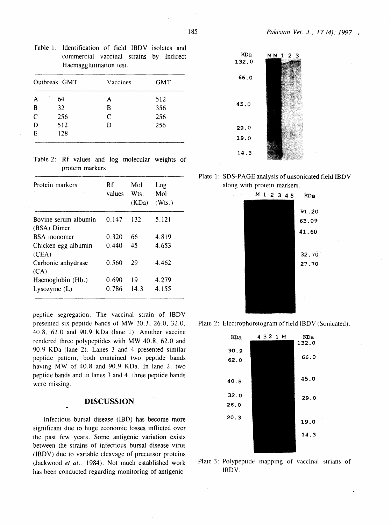| Table 1: Identification of field IBDV isolates and |  |  |  |
|----------------------------------------------------|--|--|--|
| commercial vaccinal strains by Indirect            |  |  |  |
| Haemagglutination test.                            |  |  |  |

|              | Outbreak GMT | Vaccines | <b>GMT</b> |
|--------------|--------------|----------|------------|
| A            | 64           | A        | 512        |
| B            | 32           | В        | 356        |
| $\mathsf{C}$ | 256          | C        | 256        |
| D            | 512          | D        | 256        |
| E            | 128          |          |            |

Table 2: Rf values and log molecular weights of protein markers

| Protein markers                     | Rf<br>values | Mol<br>W <sub>ts</sub><br>(KDa) | Log<br>Mol<br>(Wts.) |
|-------------------------------------|--------------|---------------------------------|----------------------|
| Bovine serum albumin<br>(BSA) Dimer | 0.147        | 132                             | 5.121                |
| <b>BSA</b> monomer                  | 0.320        | 66                              | 4.819                |
| Chicken egg albumin<br>(CEA)        | 0.440        | 45                              | 4.653                |
| Carbonic anhydrase<br>(CA)          | 0.560        | 29                              | 4.462                |
| Haemoglobin (Hb.)                   | 0.690        | 19                              | 4.279                |
| Lysozyme $(L)$                      | 0.786        | 14.3                            | 4.155                |

peptide segregation. The vaccinal strain of IBDV presented six peptide hands of MW 20.3, 26.0, 32.0. 40.8. 62.0 and 90.9 KDa (lane 1). Another vaccine rendered three polypeptides with MW 40.8, 62.0 and 90.9 KDa (lane 2). Lanes 3 and 4 presented similar peptide pattern, both contained two peptide bands having MW of 40.8 and 90.9 KDa. In lane 2, two peptide bands and in lanes 3 and 4. three peptide bands were missing.

# **DISCUSSION**

Infectious bursal disease (IBD) has become more significant due to huge economic losses inflicted over the past few years. Some antigenic variation exists between the strains of infectious bursal disease virus ( IBDV) due to variable cleavage of precursor proteins (Jackwood et al., 1984). Not much established work has been conducted regarding monitoring of antigenic



Plate 1: SDS-PAGE analysis of unsonicated field IBDV along with protein markers.



Plate 2: Electrophoretogram of field IBDV (Sonicated).



Plate 3: Polypeptide mapping of vaccinal strians of IBDV.